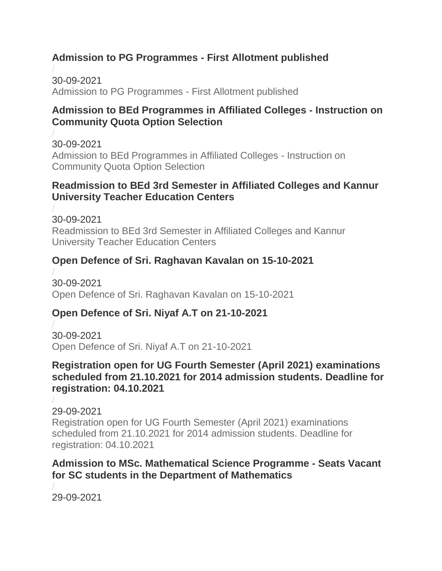### **Admission to PG Programmes - First Allotment published**

/ 30-09-2021 [Admission to PG Programmes -](https://kannuruniversity.ac.in/media/documents/pg_first_allotment-press_release.pdf) First Allotment published

#### **Admission to BEd Programmes in Affiliated Colleges - Instruction on Community Quota Option Selection**

/ 30-09-2021 [Admission to BEd Programmes in Affiliated Colleges -](https://kannuruniversity.ac.in/media/documents/B.Ed_-community_quota_-Press_Release_1.pdf) Instruction on [Community Quota Option Selection](https://kannuruniversity.ac.in/media/documents/B.Ed_-community_quota_-Press_Release_1.pdf)

#### **Readmission to BEd 3rd Semester in Affiliated Colleges and Kannur University Teacher Education Centers**

/ 30-09-2021 [Readmission to BEd 3rd Semester in Affiliated Colleges and Kannur](https://kannuruniversity.ac.in/media/documents/bed_readmsn.pdf)  [University Teacher Education Centers](https://kannuruniversity.ac.in/media/documents/bed_readmsn.pdf)

#### **Open Defence of Sri. Raghavan Kavalan on 15-10-2021**

/ 30-09-2021 [Open Defence of Sri. Raghavan Kavalan on 15-10-2021](https://kannuruniversity.ac.in/media/documents/ragha.pdf)

### **Open Defence of Sri. Niyaf A.T on 21-10-2021**

/ 30-09-2021 [Open Defence of Sri. Niyaf A.T on 21-10-2021](https://kannuruniversity.ac.in/media/documents/niyaf.pdf)

#### **Registration open for UG Fourth Semester (April 2021) examinations scheduled from 21.10.2021 for 2014 admission students. Deadline for registration: 04.10.2021**

/ 29-09-2021 Registration open [for UG Fourth Semester \(April 2021\) examinations](https://kannuruniversity.ac.in/media/documents/EX_EG_I-_II_7323_UG_April_2021.pdf)  [scheduled from 21.10.2021 for 2014 admission students. Deadline for](https://kannuruniversity.ac.in/media/documents/EX_EG_I-_II_7323_UG_April_2021.pdf)  [registration: 04.10.2021](https://kannuruniversity.ac.in/media/documents/EX_EG_I-_II_7323_UG_April_2021.pdf)

#### **Admission to MSc. Mathematical Science Programme - Seats Vacant for SC students in the Department of Mathematics**

/ 29-09-2021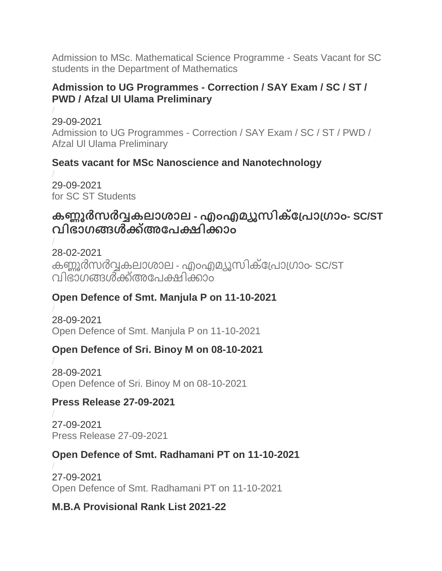[Admission to MSc. Mathematical Science Programme -](https://kannuruniversity.ac.in/media/documents/maths_sc.pdf) Seats Vacant for SC [students in the Department of Mathematics](https://kannuruniversity.ac.in/media/documents/maths_sc.pdf)

#### **Admission to UG Programmes - Correction / SAY Exam / SC / ST / PWD / Afzal Ul Ulama Preliminary**

/ 29-09-2021 Admission to UG Programmes - [Correction / SAY Exam / SC / ST / PWD /](https://kannuruniversity.ac.in/media/documents/Press_Release-New_reg.pdf)  [Afzal Ul Ulama Preliminary](https://kannuruniversity.ac.in/media/documents/Press_Release-New_reg.pdf)

### **Seats vacant for MSc Nanoscience and Nanotechnology**

/ 29-09-2021 [for SC ST Students](https://kannuruniversity.ac.in/media/documents/Msc_Nano_Press_release_SC_ST.pdf)

# **കണ്ണൂർസർവ്വകലാശാല - എംഎമയൂസിക്പ്രാ്്ാം- SC/ST വിഭാ്ങ്ങൾക്ക്അപരക്ഷിക്കാം**

/ 28-02-2021 കണ്ണൂർസർവ്വകലാശാല - എംഎമ്യൂസിക്പ്രോഗ്രാം- SC/ST [വിഭാ്ങ്ങൾക്ക്അപരക്ഷിക്കാം](https://kannuruniversity.ac.in/media/documents/music_admission.pdf)

### **Open Defence of Smt. Manjula P on 11-10-2021**

/ 28-09-2021 [Open Defence of Smt. Manjula P on 11-10-2021](https://kannuruniversity.ac.in/media/documents/manjula_press.pdf)

### **Open Defence of Sri. Binoy M on 08-10-2021**

/ 28-09-2021 [Open Defence of Sri. Binoy M on 08-10-2021](https://kannuruniversity.ac.in/media/documents/binoy_press.pdf)

#### **Press Release 27-09-2021**

/ 27-09-2021 [Press Release 27-09-2021](https://kannuruniversity.ac.in/media/documents/press_27-09-2021.pdf)

### **Open Defence of Smt. Radhamani PT on 11-10-2021**

/ 27-09-2021 [Open Defence of Smt. Radhamani PT on 11-10-2021](https://kannuruniversity.ac.in/media/documents/Radhamani_PR.pdf)

### **M.B.A Provisional Rank List 2021-22**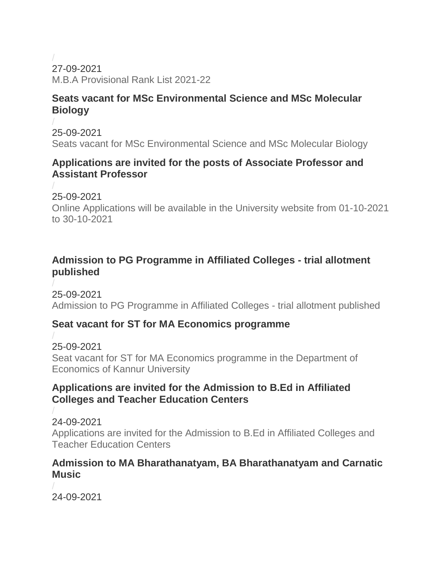/ 27-09-2021 [M.B.A Provisional Rank List 2021-22](https://kannuruniversity.ac.in/media/documents/RANK_LIST.pdf)

#### **Seats vacant for MSc Environmental Science and MSc Molecular Biology**

/ 25-09-2021 [Seats vacant for MSc Environmental Science and MSc Molecular Biology](https://kannuruniversity.ac.in/media/documents/press_25-9-21.pdf)

#### **Applications are invited for the posts of Associate Professor and Assistant Professor**

/ 25-09-2021

[Online Applications will be available in the University website from 01-10-2021](https://kannuruniversity.ac.in/media/documents/Appointment_Notification-merged.pdf)  [to 30-10-2021](https://kannuruniversity.ac.in/media/documents/Appointment_Notification-merged.pdf)

#### **Admission to PG Programme in Affiliated Colleges - trial allotment published**

/ 25-09-2021 [Admission to PG Programme in Affiliated Colleges -](https://kannuruniversity.ac.in/media/documents/Press_Release-pg_trial_allotment.pdf) trial allotment published

### **Seat vacant for ST for MA Economics programme**

/ 25-09-2021 [Seat vacant for ST for MA Economics programme in the Department of](https://kannuruniversity.ac.in/media/documents/seat_st-economic.pdf)  [Economics of Kannur University](https://kannuruniversity.ac.in/media/documents/seat_st-economic.pdf)

#### **Applications are invited for the Admission to B.Ed in Affiliated Colleges and Teacher Education Centers**

/ 24-09-2021 [Applications are invited for the Admission to B.Ed in Affiliated Colleges and](https://kannuruniversity.ac.in/media/documents/bed_adddmission.pdf)  [Teacher Education Centers](https://kannuruniversity.ac.in/media/documents/bed_adddmission.pdf)

#### **Admission to MA Bharathanatyam, BA Bharathanatyam and Carnatic Music**

/ 24-09-2021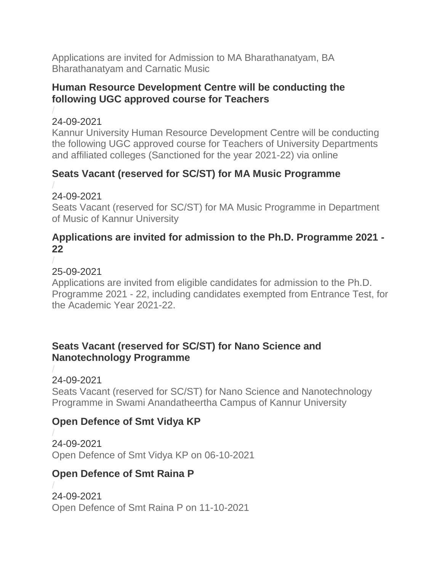[Applications are invited for Admission to MA Bharathanatyam, BA](https://kannuruniversity.ac.in/media/documents/Press_Release-Acad.D2_dt.24-09-21.pdf)  [Bharathanatyam and Carnatic Music](https://kannuruniversity.ac.in/media/documents/Press_Release-Acad.D2_dt.24-09-21.pdf)

#### **Human Resource Development Centre will be conducting the following UGC approved course for Teachers**

#### / 24-09-2021

[Kannur University Human Resource Development Centre will be conducting](https://kannuruniversity.ac.in/media/documents/press_release21-22_second-converted.pdf)  [the following UGC approved course for Teachers of University Departments](https://kannuruniversity.ac.in/media/documents/press_release21-22_second-converted.pdf)  [and affiliated colleges \(Sanctioned for the year 2021-22\) via online](https://kannuruniversity.ac.in/media/documents/press_release21-22_second-converted.pdf)

## **Seats Vacant (reserved for SC/ST) for MA Music Programme**

#### / 24-09-2021

[Seats Vacant \(reserved for SC/ST\) for MA Music Programme in Department](https://kannuruniversity.ac.in/media/documents/music_89rYeVj.pdf)  [of Music of Kannur University](https://kannuruniversity.ac.in/media/documents/music_89rYeVj.pdf)

#### **Applications are invited for admission to the Ph.D. Programme 2021 - 22**

#### / 25-09-2021

[Applications are invited from eligible candidates for admission to the Ph.D.](https://kannuruniversity.ac.in/media/documents/notification.pdf)  Programme 2021 - [22, including candidates exempted from Entrance Test, for](https://kannuruniversity.ac.in/media/documents/notification.pdf)  [the Academic Year 2021-22.](https://kannuruniversity.ac.in/media/documents/notification.pdf)

#### **Seats Vacant (reserved for SC/ST) for Nano Science and Nanotechnology Programme**

/ 24-09-2021

[Seats Vacant \(reserved for SC/ST\) for Nano Science and Nanotechnology](https://kannuruniversity.ac.in/media/documents/Admission_Press_Release-2021-22_-SC..pdf)  [Programme in Swami Anandatheertha Campus of Kannur University](https://kannuruniversity.ac.in/media/documents/Admission_Press_Release-2021-22_-SC..pdf)

### **Open Defence of Smt Vidya KP**

/ 24-09-2021 [Open Defence of Smt Vidya KP on 06-10-2021](https://kannuruniversity.ac.in/media/documents/vIDYA_k.p.pdf)

### **Open Defence of Smt Raina P**

/ 24-09-2021 [Open Defence of Smt Raina P on 11-10-2021](https://kannuruniversity.ac.in/media/documents/raina.p_1.pdf)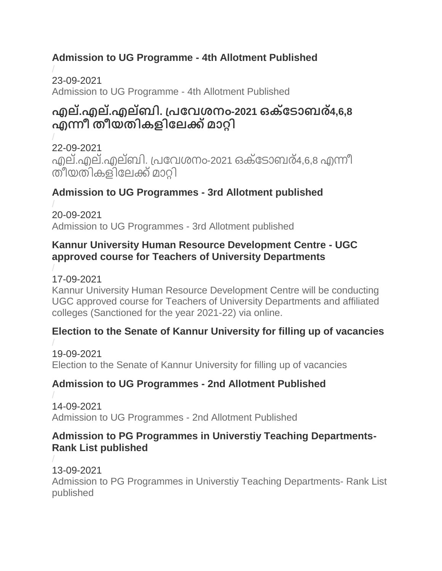## **Admission to UG Programme - 4th Allotment Published**

/ 23-09-2021 [Admission to UG Programme -](https://kannuruniversity.ac.in/media/documents/U.G.-4th_allotment.pdf) 4th Allotment Published

# **എല.്എല.്എലബ് ി. ്രപവശനം-2021 ഒക്പടാബര4,6,8 ് എന്നീ തീയതികളിപലക്ക്മാറ്റി**

/ 22-09-2021 എല്.എല്.എല്ബി. പ്രവേശനം-2021 ഒക്ടോബര്4.6.8 എന്നീ [തീയതികളിപലക്ക്മാറ്റി](https://kannuruniversity.ac.in/media/documents/ll_press.pdf)

### **Admission to UG Programmes - 3rd Allotment published**

/ 20-09-2021 [Admission to UG Programmes -](https://kannuruniversity.ac.in/media/documents/Press_Release-U.G.-Third_Allotment.pdf) 3rd Allotment published

#### **Kannur University Human Resource Development Centre - UGC approved course for Teachers of University Departments**

/ 17-09-2021

[Kannur University Human Resource Development Centre will be conducting](https://kannuruniversity.ac.in/media/documents/press_release21-22_17sept-converted_1.pdf)  [UGC approved course for Teachers of University Departments and affiliated](https://kannuruniversity.ac.in/media/documents/press_release21-22_17sept-converted_1.pdf)  [colleges \(Sanctioned for the year 2021-22\) via online.](https://kannuruniversity.ac.in/media/documents/press_release21-22_17sept-converted_1.pdf)

#### **Election to the Senate of Kannur University for filling up of vacancies**

/ 19-09-2021 [Election to the Senate of Kannur University for filling up of vacancies](https://kannuruniversity.ac.in/media/documents/Press_release16092021.pdf)

### **Admission to UG Programmes - 2nd Allotment Published**

/ 14-09-2021 [Admission to UG Programmes](https://kannuruniversity.ac.in/media/documents/UG-Second_Allotment.pdf) - 2nd Allotment Published

#### **Admission to PG Programmes in Universtiy Teaching Departments-Rank List published**

/ 13-09-2021 [Admission to PG Programmes in Universtiy Teaching Departments-](https://kannuruniversity.ac.in/media/documents/Rank_list.pdf) Rank List [published](https://kannuruniversity.ac.in/media/documents/Rank_list.pdf)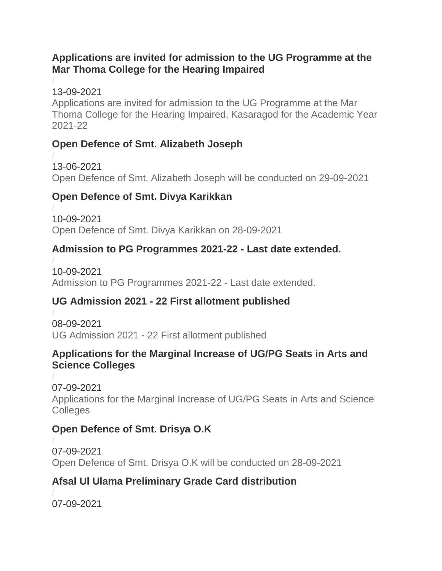#### **Applications are invited for admission to the UG Programme at the Mar Thoma College for the Hearing Impaired**

/ 13-09-2021

Applications [are invited for admission to the UG Programme at the Mar](https://kannuruniversity.ac.in/media/documents/admission_notification_marthoma.pdf)  [Thoma College for the Hearing Impaired, Kasaragod for the Academic Year](https://kannuruniversity.ac.in/media/documents/admission_notification_marthoma.pdf)  [2021-22](https://kannuruniversity.ac.in/media/documents/admission_notification_marthoma.pdf)

### **Open Defence of Smt. Alizabeth Joseph**

/ 13-06-2021

[Open Defence of Smt. Alizabeth Joseph will be conducted on 29-09-2021](https://kannuruniversity.ac.in/media/documents/Alizabeth_PR.pdf)

## **Open Defence of Smt. Divya Karikkan**

/ 10-09-2021 [Open Defence of Smt. Divya Karikkan on 28-09-2021](https://kannuruniversity.ac.in/media/documents/divya_karikkan_1.pdf)

### **Admission to PG Programmes 2021-22 - Last date extended.**

/ 10-09-2021 [Admission to PG Programmes 2021-22 -](https://kannuruniversity.ac.in/media/documents/Press_Release-SWC_dt.09-09-21.pdf) Last date extended.

## **UG Admission 2021 - 22 First allotment published**

/ 08-09-2021 UG Admission 2021 - [22 First allotment published](https://kannuruniversity.ac.in/media/documents/UG_first_allotment1.pdf)

#### **Applications for the Marginal Increase of UG/PG Seats in Arts and Science Colleges**

/ 07-09-2021 [Applications for the Marginal Increase of UG/PG Seats in Arts and Science](https://kannuruniversity.ac.in/media/documents/press_marginal_increase_07-09-2021.pdf)  **[Colleges](https://kannuruniversity.ac.in/media/documents/press_marginal_increase_07-09-2021.pdf)** 

### **Open Defence of Smt. Drisya O.K**

/ 07-09-2021 [Open Defence of Smt. Drisya O.K will be conducted on 28-09-2021](https://kannuruniversity.ac.in/media/documents/open_defence_drisya_ok.pdf)

## **Afsal Ul Ulama Preliminary Grade Card distribution**

/ 07-09-2021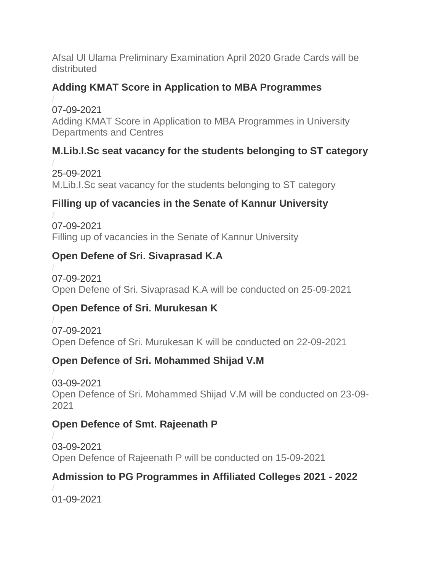[Afsal Ul Ulama Preliminary Examination April 2020 Grade Cards will be](https://kannuruniversity.ac.in/media/documents/press_afsal_ulama_grade_card.pdf)  [distributed](https://kannuruniversity.ac.in/media/documents/press_afsal_ulama_grade_card.pdf)

## **Adding KMAT Score in Application to MBA Programmes**

/ 07-09-2021 [Adding KMAT Score in Application to MBA Programmes in University](https://kannuruniversity.ac.in/media/documents/MBA-KMAT_Score-update.pdf)  [Departments and Centres](https://kannuruniversity.ac.in/media/documents/MBA-KMAT_Score-update.pdf)

## **M.Lib.I.Sc seat vacancy for the students belonging to ST category**

/ 25-09-2021 [M.Lib.I.Sc seat vacancy for the students belonging to ST category](https://kannuruniversity.ac.in/media/documents/vacancy_notification.pdf)

### **Filling up of vacancies in the Senate of Kannur University**

/ 07-09-2021 [Filling up of vacancies in the Senate of Kannur University](https://kannuruniversity.ac.in/media/documents/press_senate_07-09-2021.pdf)

### **Open Defene of Sri. Sivaprasad K.A**

/ 07-09-2021 [Open Defene of Sri. Sivaprasad K.A will be conducted on 25-09-2021](https://kannuruniversity.ac.in/media/documents/SIVAPRASAD_PRESS1.pdf)

### **Open Defence of Sri. Murukesan K**

/ 07-09-2021 [Open Defence of Sri. Murukesan K will be conducted on 22-09-2021](https://kannuruniversity.ac.in/media/documents/murupress.pdf)

### **Open Defence of Sri. Mohammed Shijad V.M**

/ 03-09-2021 [Open Defence of Sri. Mohammed Shijad V.M will be conducted on 23-09-](https://kannuruniversity.ac.in/media/documents/three_press.pdf) [2021](https://kannuruniversity.ac.in/media/documents/three_press.pdf)

#### **Open Defence of Smt. Rajeenath P**

/ 03-09-2021 [Open Defence of Rajeenath P will be conducted on 15-09-2021](https://kannuruniversity.ac.in/media/documents/PR_Rajeenath_P.pdf)

### **Admission to PG Programmes in Affiliated Colleges 2021 - 2022**

/ 01-09-2021